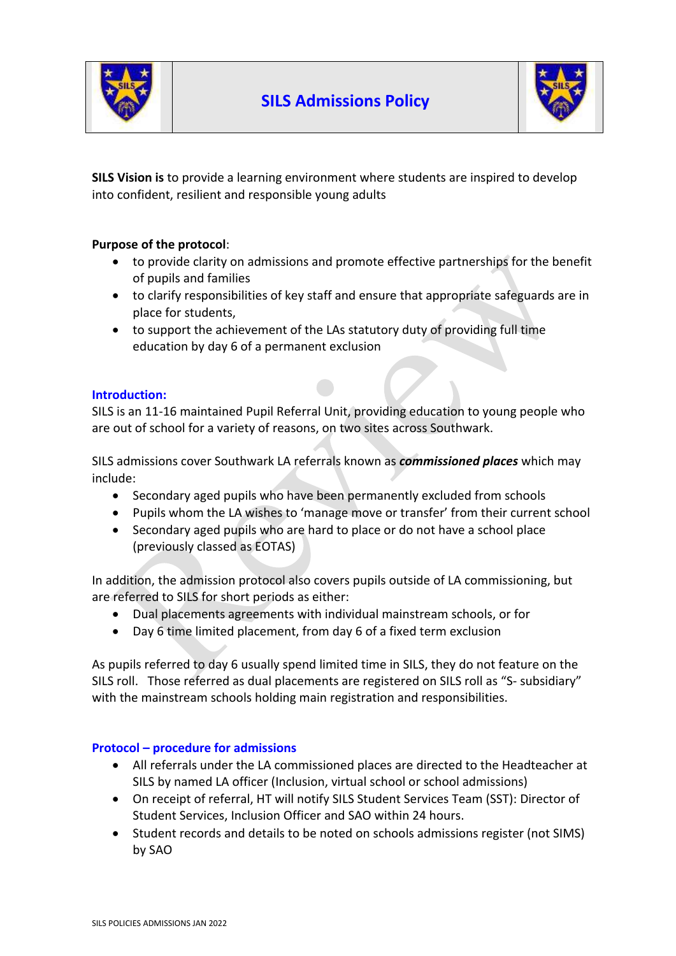



**SILS Vision is** to provide a learning environment where students are inspired to develop into confident, resilient and responsible young adults

## **Purpose of the protocol**:

- to provide clarity on admissions and promote effective partnerships for the benefit of pupils and families
- to clarify responsibilities of key staff and ensure that appropriate safeguards are in place for students,
- to support the achievement of the LAs statutory duty of providing full time education by day 6 of a permanent exclusion

### **Introduction:**

SILS is an 11-16 maintained Pupil Referral Unit, providing education to young people who are out of school for a variety of reasons, on two sites across Southwark.

SILS admissions cover Southwark LA referrals known as *commissioned places* which may include:

- Secondary aged pupils who have been permanently excluded from schools
- Pupils whom the LA wishes to 'manage move or transfer' from their current school
- Secondary aged pupils who are hard to place or do not have a school place (previously classed as EOTAS)

In addition, the admission protocol also covers pupils outside of LA commissioning, but are referred to SILS for short periods as either:

- Dual placements agreements with individual mainstream schools, or for
- Day 6 time limited placement, from day 6 of a fixed term exclusion

As pupils referred to day 6 usually spend limited time in SILS, they do not feature on the SILS roll. Those referred as dual placements are registered on SILS roll as "S- subsidiary" with the mainstream schools holding main registration and responsibilities.

## **Protocol – procedure for admissions**

- All referrals under the LA commissioned places are directed to the Headteacher at SILS by named LA officer (Inclusion, virtual school or school admissions)
- On receipt of referral, HT will notify SILS Student Services Team (SST): Director of Student Services, Inclusion Officer and SAO within 24 hours.
- Student records and details to be noted on schools admissions register (not SIMS) by SAO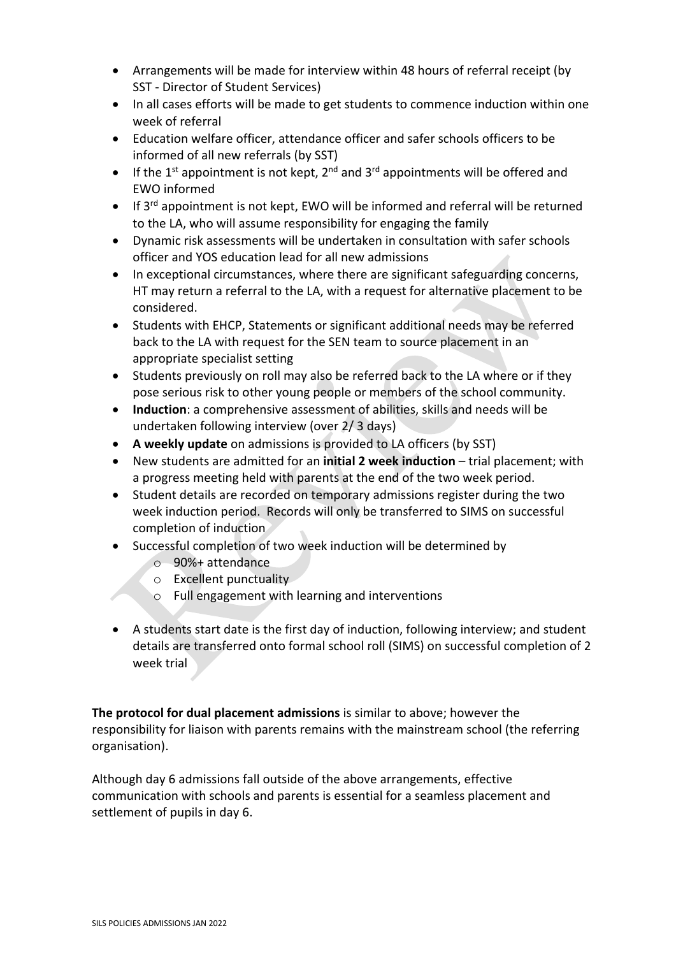- Arrangements will be made for interview within 48 hours of referral receipt (by SST - Director of Student Services)
- In all cases efforts will be made to get students to commence induction within one week of referral
- Education welfare officer, attendance officer and safer schools officers to be informed of all new referrals (by SST)
- If the  $1^{st}$  appointment is not kept,  $2^{nd}$  and  $3^{rd}$  appointments will be offered and EWO informed
- If 3<sup>rd</sup> appointment is not kept, EWO will be informed and referral will be returned to the LA, who will assume responsibility for engaging the family
- Dynamic risk assessments will be undertaken in consultation with safer schools officer and YOS education lead for all new admissions
- In exceptional circumstances, where there are significant safeguarding concerns, HT may return a referral to the LA, with a request for alternative placement to be considered.
- Students with EHCP, Statements or significant additional needs may be referred back to the LA with request for the SEN team to source placement in an appropriate specialist setting
- Students previously on roll may also be referred back to the LA where or if they pose serious risk to other young people or members of the school community.
- **Induction**: a comprehensive assessment of abilities, skills and needs will be undertaken following interview (over 2/ 3 days)
- **A weekly update** on admissions is provided to LA officers (by SST)
- New students are admitted for an **initial 2 week induction** trial placement; with a progress meeting held with parents at the end of the two week period.
- Student details are recorded on temporary admissions register during the two week induction period. Records will only be transferred to SIMS on successful completion of induction
- Successful completion of two week induction will be determined by
	- o 90%+ attendance
	- o Excellent punctuality
	- o Full engagement with learning and interventions
- A students start date is the first day of induction, following interview; and student details are transferred onto formal school roll (SIMS) on successful completion of 2 week trial

**The protocol for dual placement admissions** is similar to above; however the responsibility for liaison with parents remains with the mainstream school (the referring organisation).

Although day 6 admissions fall outside of the above arrangements, effective communication with schools and parents is essential for a seamless placement and settlement of pupils in day 6.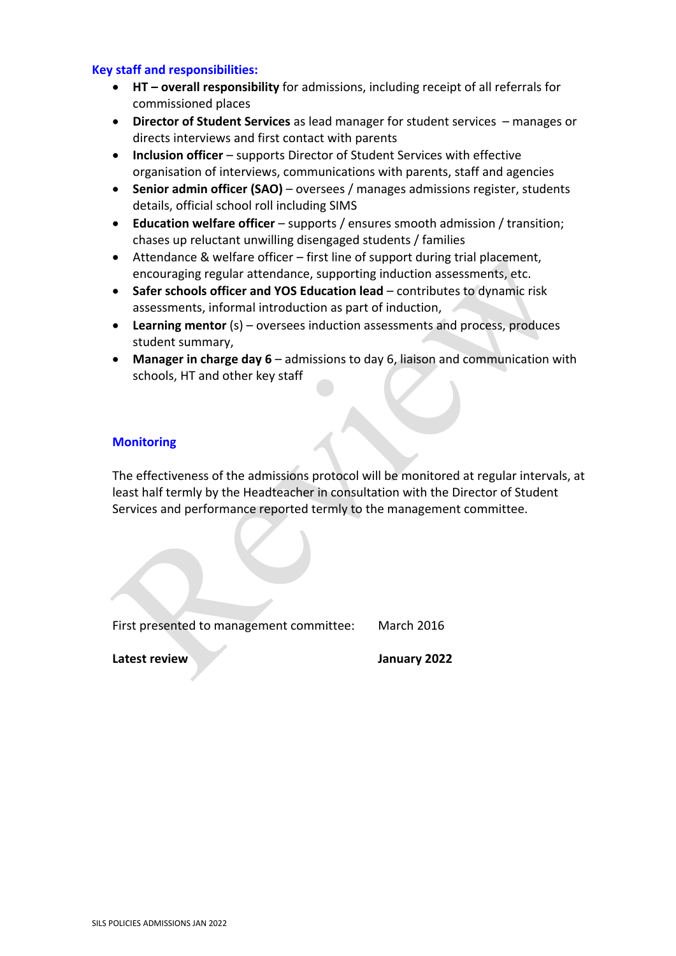#### **Key staff and responsibilities:**

- **HT – overall responsibility** for admissions, including receipt of all referrals for commissioned places
- **Director of Student Services** as lead manager for student services manages or directs interviews and first contact with parents
- **Inclusion officer** supports Director of Student Services with effective organisation of interviews, communications with parents, staff and agencies
- **Senior admin officer (SAO)** oversees / manages admissions register, students details, official school roll including SIMS
- **Education welfare officer**  supports / ensures smooth admission / transition; chases up reluctant unwilling disengaged students / families
- Attendance & welfare officer first line of support during trial placement, encouraging regular attendance, supporting induction assessments, etc.
- **Safer schools officer and YOS Education lead** contributes to dynamic risk assessments, informal introduction as part of induction,
- **Learning mentor** (s) oversees induction assessments and process, produces student summary,
- **Manager in charge day 6** admissions to day 6, liaison and communication with schools, HT and other key staff

#### **Monitoring**

The effectiveness of the admissions protocol will be monitored at regular intervals, at least half termly by the Headteacher in consultation with the Director of Student Services and performance reported termly to the management committee.

First presented to management committee: March 2016

**Latest review January 2022**